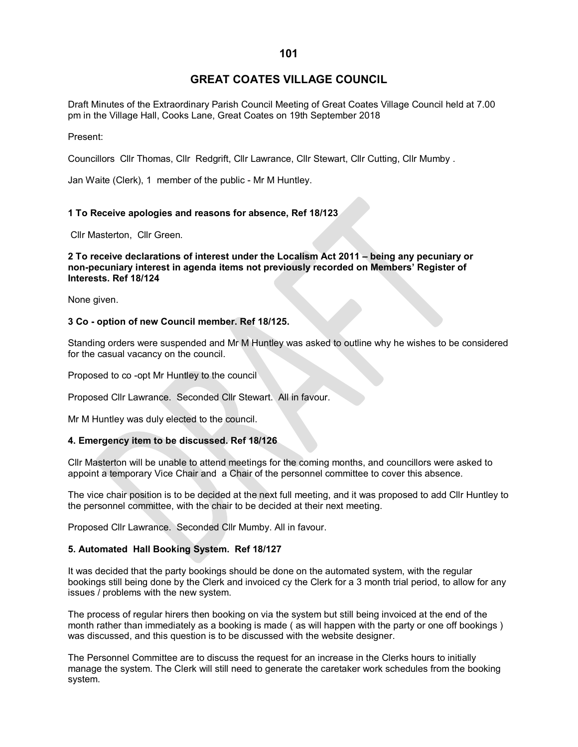# **GREAT COATES VILLAGE COUNCIL**

Draft Minutes of the Extraordinary Parish Council Meeting of Great Coates Village Council held at 7.00 pm in the Village Hall, Cooks Lane, Great Coates on 19th September 2018

Present:

Councillors Cllr Thomas, Cllr Redgrift, Cllr Lawrance, Cllr Stewart, Cllr Cutting, Cllr Mumby .

Jan Waite (Clerk), 1 member of the public - Mr M Huntley.

# **1 To Receive apologies and reasons for absence, Ref 18/123**

Cllr Masterton, Cllr Green.

**2 To receive declarations of interest under the Localism Act 2011 – being any pecuniary or non-pecuniary interest in agenda items not previously recorded on Members' Register of Interests. Ref 18/124**

None given.

#### **3 Co - option of new Council member. Ref 18/125.**

Standing orders were suspended and Mr M Huntley was asked to outline why he wishes to be considered for the casual vacancy on the council.

Proposed to co -opt Mr Huntley to the council

Proposed Cllr Lawrance. Seconded Cllr Stewart. All in favour.

Mr M Huntley was duly elected to the council.

#### **4. Emergency item to be discussed. Ref 18/126**

Cllr Masterton will be unable to attend meetings for the coming months, and councillors were asked to appoint a temporary Vice Chair and a Chair of the personnel committee to cover this absence.

The vice chair position is to be decided at the next full meeting, and it was proposed to add Cllr Huntley to the personnel committee, with the chair to be decided at their next meeting.

Proposed Cllr Lawrance. Seconded Cllr Mumby. All in favour.

#### **5. Automated Hall Booking System. Ref 18/127**

It was decided that the party bookings should be done on the automated system, with the regular bookings still being done by the Clerk and invoiced cy the Clerk for a 3 month trial period, to allow for any issues / problems with the new system.

The process of regular hirers then booking on via the system but still being invoiced at the end of the month rather than immediately as a booking is made ( as will happen with the party or one off bookings ) was discussed, and this question is to be discussed with the website designer.

The Personnel Committee are to discuss the request for an increase in the Clerks hours to initially manage the system. The Clerk will still need to generate the caretaker work schedules from the booking system.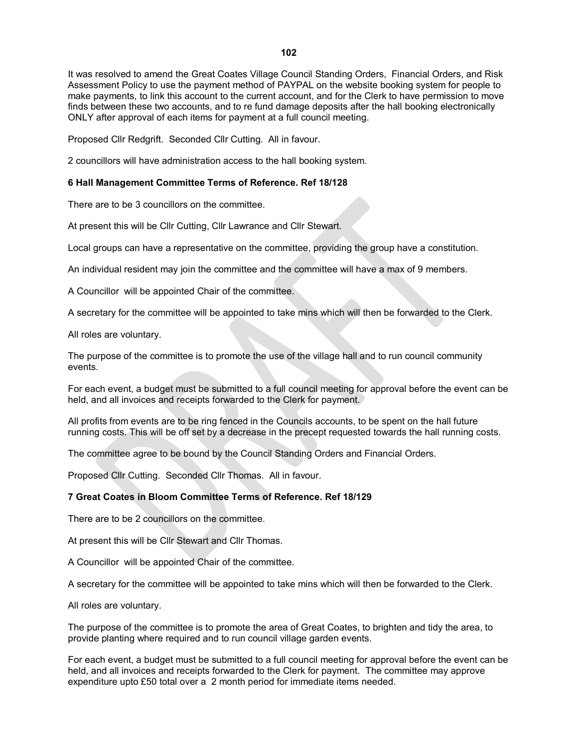It was resolved to amend the Great Coates Village Council Standing Orders, Financial Orders, and Risk Assessment Policy to use the payment method of PAYPAL on the website booking system for people to make payments, to link this account to the current account, and for the Clerk to have permission to move finds between these two accounts, and to re fund damage deposits after the hall booking electronically ONLY after approval of each items for payment at a full council meeting.

Proposed Cllr Redgrift. Seconded Cllr Cutting. All in favour.

2 councillors will have administration access to the hall booking system.

### **6 Hall Management Committee Terms of Reference. Ref 18/128**

There are to be 3 councillors on the committee.

At present this will be Cllr Cutting, Cllr Lawrance and Cllr Stewart.

Local groups can have a representative on the committee, providing the group have a constitution.

An individual resident may join the committee and the committee will have a max of 9 members.

A Councillor will be appointed Chair of the committee.

A secretary for the committee will be appointed to take mins which will then be forwarded to the Clerk.

All roles are voluntary.

The purpose of the committee is to promote the use of the village hall and to run council community events.

For each event, a budget must be submitted to a full council meeting for approval before the event can be held, and all invoices and receipts forwarded to the Clerk for payment.

All profits from events are to be ring fenced in the Councils accounts, to be spent on the hall future running costs. This will be off set by a decrease in the precept requested towards the hall running costs.

The committee agree to be bound by the Council Standing Orders and Financial Orders.

Proposed Cllr Cutting. Seconded Cllr Thomas. All in favour.

## **7 Great Coates in Bloom Committee Terms of Reference. Ref 18/129**

There are to be 2 councillors on the committee.

At present this will be Cllr Stewart and Cllr Thomas.

A Councillor will be appointed Chair of the committee.

A secretary for the committee will be appointed to take mins which will then be forwarded to the Clerk.

All roles are voluntary.

The purpose of the committee is to promote the area of Great Coates, to brighten and tidy the area, to provide planting where required and to run council village garden events.

For each event, a budget must be submitted to a full council meeting for approval before the event can be held, and all invoices and receipts forwarded to the Clerk for payment. The committee may approve expenditure upto £50 total over a 2 month period for immediate items needed.